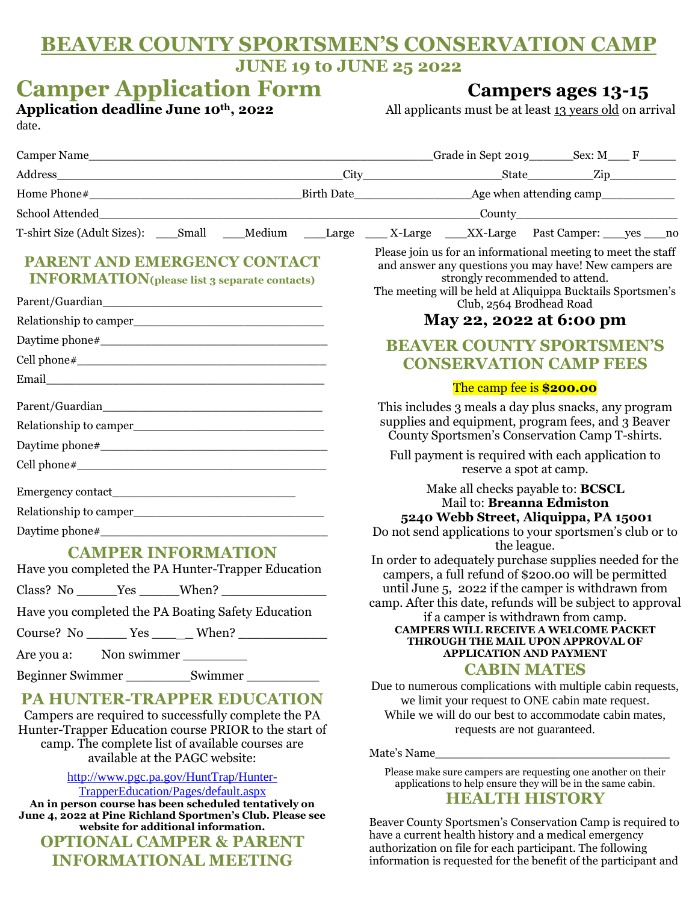# **BEAVER COUNTY SPORTSMEN'S CONSERVATION CAMP JUNE 19 to JUNE 25 2022**

| <b>Camper Application Form</b><br>Application deadline June 10th, 2022<br>date.                                                                                                                     |  | <b>Campers ages 13-15</b><br>All applicants must be at least 13 years old on arrival                                                                                                                                                                                                                                                                                                                                            |  |
|-----------------------------------------------------------------------------------------------------------------------------------------------------------------------------------------------------|--|---------------------------------------------------------------------------------------------------------------------------------------------------------------------------------------------------------------------------------------------------------------------------------------------------------------------------------------------------------------------------------------------------------------------------------|--|
|                                                                                                                                                                                                     |  |                                                                                                                                                                                                                                                                                                                                                                                                                                 |  |
|                                                                                                                                                                                                     |  |                                                                                                                                                                                                                                                                                                                                                                                                                                 |  |
|                                                                                                                                                                                                     |  |                                                                                                                                                                                                                                                                                                                                                                                                                                 |  |
|                                                                                                                                                                                                     |  |                                                                                                                                                                                                                                                                                                                                                                                                                                 |  |
|                                                                                                                                                                                                     |  | T-shirt Size (Adult Sizes): Small Medium Large X-Large X-Large Past Camper: yes no                                                                                                                                                                                                                                                                                                                                              |  |
| PARENT AND EMERGENCY CONTACT<br><b>INFORMATION</b> (please list 3 separate contacts)                                                                                                                |  | Please join us for an informational meeting to meet the staff<br>and answer any questions you may have! New campers are<br>strongly recommended to attend.<br>The meeting will be held at Aliquippa Bucktails Sportsmen's<br>Club, 2564 Brodhead Road<br>May 22, 2022 at 6:00 pm<br><b>BEAVER COUNTY SPORTSMEN'S</b><br><b>CONSERVATION CAMP FEES</b>                                                                           |  |
|                                                                                                                                                                                                     |  |                                                                                                                                                                                                                                                                                                                                                                                                                                 |  |
|                                                                                                                                                                                                     |  |                                                                                                                                                                                                                                                                                                                                                                                                                                 |  |
|                                                                                                                                                                                                     |  |                                                                                                                                                                                                                                                                                                                                                                                                                                 |  |
|                                                                                                                                                                                                     |  |                                                                                                                                                                                                                                                                                                                                                                                                                                 |  |
|                                                                                                                                                                                                     |  | The camp fee is \$200.00                                                                                                                                                                                                                                                                                                                                                                                                        |  |
|                                                                                                                                                                                                     |  | This includes 3 meals a day plus snacks, any program<br>supplies and equipment, program fees, and 3 Beaver<br>County Sportsmen's Conservation Camp T-shirts.                                                                                                                                                                                                                                                                    |  |
|                                                                                                                                                                                                     |  | Full payment is required with each application to                                                                                                                                                                                                                                                                                                                                                                               |  |
|                                                                                                                                                                                                     |  | reserve a spot at camp.                                                                                                                                                                                                                                                                                                                                                                                                         |  |
| <b>CAMPER INFORMATION</b>                                                                                                                                                                           |  | Make all checks payable to: <b>BCSCL</b><br>Mail to: Breanna Edmiston<br>5240 Webb Street, Aliquippa, PA 15001<br>Do not send applications to your sportsmen's club or to<br>the league.<br>In order to adequately purchase supplies needed for the<br>campers, a full refund of \$200.00 will be permitted<br>until June 5, 2022 if the camper is withdrawn from<br>camp. After this date, refunds will be subject to approval |  |
| Have you completed the PA Hunter-Trapper Education                                                                                                                                                  |  |                                                                                                                                                                                                                                                                                                                                                                                                                                 |  |
|                                                                                                                                                                                                     |  |                                                                                                                                                                                                                                                                                                                                                                                                                                 |  |
| Have you completed the PA Boating Safety Education                                                                                                                                                  |  |                                                                                                                                                                                                                                                                                                                                                                                                                                 |  |
|                                                                                                                                                                                                     |  | if a camper is withdrawn from camp.<br><b>CAMPERS WILL RECEIVE A WELCOME PACKET</b>                                                                                                                                                                                                                                                                                                                                             |  |
| Course? No <u>Yes</u> <u>When?</u>                                                                                                                                                                  |  | THROUGH THE MAIL UPON APPROVAL OF                                                                                                                                                                                                                                                                                                                                                                                               |  |
| Non swimmer<br>Are you a:                                                                                                                                                                           |  | <b>APPLICATION AND PAYMENT</b><br><b>CABIN MATES</b>                                                                                                                                                                                                                                                                                                                                                                            |  |
| PA HUNTER-TRAPPER EDUCATION<br>Campers are required to successfully complete the PA<br>Hunter-Trapper Education course PRIOR to the start of                                                        |  | Due to numerous complications with multiple cabin requests,<br>we limit your request to ONE cabin mate request.<br>While we will do our best to accommodate cabin mates,<br>requests are not guaranteed.                                                                                                                                                                                                                        |  |
| camp. The complete list of available courses are<br>available at the PAGC website:                                                                                                                  |  |                                                                                                                                                                                                                                                                                                                                                                                                                                 |  |
| http://www.pgc.pa.gov/HuntTrap/Hunter-<br>TrapperEducation/Pages/default.aspx<br>An in person course has been scheduled tentatively on<br>June 4, 2022 at Pine Richland Sportmen's Club. Please see |  | Please make sure campers are requesting one another on their<br>applications to help ensure they will be in the same cabin.<br><b>HEALTH HISTORY</b>                                                                                                                                                                                                                                                                            |  |
| website for additional information.                                                                                                                                                                 |  | Beaver County Sportsmen's Conservation Camp is required to<br>house a current health history and a modical emergency                                                                                                                                                                                                                                                                                                            |  |

**OPTIONAL CAMPER & PARENT INFORMATIONAL MEETING**

have a current health history and a medical emergency authorization on file for each participant. The following information is requested for the benefit of the participant and